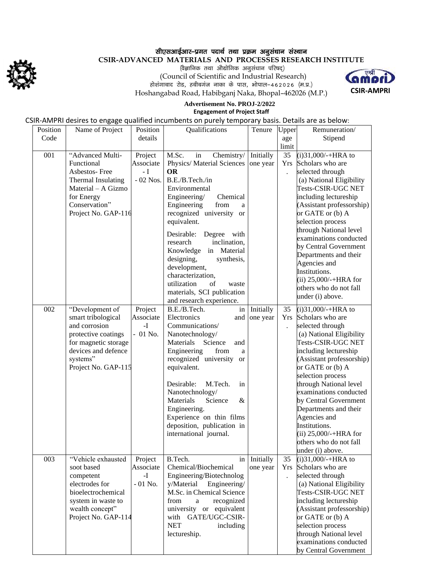

## सीएसआईआर–प्रगत पदार्थ तथा प्रक्रम अनुसंधान संस्थान

**CSIR-ADVANCED MATERIALS AND PROCESSES RESEARCH INSTITUTE**

 $\langle$ वैज्ञानिक तथा औद्योगिक अनुसंधान परिषद्) (Council of Scientific and Industrial Research) होशंगाबाद रोड, हबीबगंज नाका के पास, भोपाल-462026 (म.प्र.) Hoshangabad Road, Habibganj Naka, Bhopal–462026 (M.P.)



#### **Advertisement No. PROJ-2/2022 Engagement of Project Staff**

# CSIR-AMPRI desires to engage qualified incumbents on purely temporary basis. Details are as below:

| Position | Name of Project      | Position   | Qualifications              | Tenure    | Upper                | Remuneration/                 |
|----------|----------------------|------------|-----------------------------|-----------|----------------------|-------------------------------|
| Code     |                      | details    |                             |           | age                  | Stipend                       |
|          |                      |            |                             |           | limit                |                               |
| 001      | "Advanced Multi-     | Project    | M.Sc.<br>in<br>Chemistry/   | Initially | 35                   | $(i)31,000/-+HRA$ to          |
|          | Functional           | Associate  | Physics/ Material Sciences  | one year  | Yrs                  | Scholars who are              |
|          | Asbestos-Free        | $-I$       | <b>OR</b>                   |           | $\ddot{\phantom{0}}$ | selected through              |
|          | Thermal Insulating   | $-02$ Nos. | B.E./B.Tech./in             |           |                      | (a) National Eligibility      |
|          | Material – A Gizmo   |            | Environmental               |           |                      | Tests-CSIR-UGC NET            |
|          | for Energy           |            | Engineering/<br>Chemical    |           |                      | including lectureship         |
|          | Conservation"        |            | Engineering<br>from<br>a    |           |                      | (Assistant professorship)     |
|          | Project No. GAP-116  |            | recognized university or    |           |                      | or GATE or (b) A              |
|          |                      |            | equivalent.                 |           |                      | selection process             |
|          |                      |            |                             |           |                      | through National level        |
|          |                      |            | Desirable:<br>Degree with   |           |                      | examinations conducted        |
|          |                      |            | research<br>inclination,    |           |                      | by Central Government         |
|          |                      |            | Knowledge in Material       |           |                      | Departments and their         |
|          |                      |            | designing,<br>synthesis,    |           |                      | Agencies and                  |
|          |                      |            | development,                |           |                      | Institutions.                 |
|          |                      |            | characterization,           |           |                      | (ii) $25,000/+\text{HRA}$ for |
|          |                      |            | utilization<br>οf<br>waste  |           |                      | others who do not fall        |
|          |                      |            | materials, SCI publication  |           |                      | under (i) above.              |
|          |                      |            | and research experience.    |           |                      |                               |
| 002      | "Development of      | Project    | B.E./B.Tech.<br>in          | Initially | 35                   | $(i)31,000/$ -+HRA to         |
|          | smart tribological   | Associate  | Electronics<br>and          | one year  | Yrs                  | Scholars who are              |
|          | and corrosion        | $-I$       | Communications/             |           |                      | selected through              |
|          | protective coatings  | $-01$ No.  | Nanotechnology/             |           |                      | (a) National Eligibility      |
|          | for magnetic storage |            | Materials<br>Science<br>and |           |                      | Tests-CSIR-UGC NET            |
|          | devices and defence  |            | Engineering<br>from<br>a    |           |                      | including lectureship         |
|          | systems"             |            | recognized university or    |           |                      | (Assistant professorship)     |
|          | Project No. GAP-115  |            | equivalent.                 |           |                      | or GATE or (b) A              |
|          |                      |            |                             |           |                      | selection process             |
|          |                      |            | Desirable:<br>M.Tech.<br>in |           |                      | through National level        |
|          |                      |            | Nanotechnology/             |           |                      | examinations conducted        |
|          |                      |            | Materials<br>Science<br>&   |           |                      | by Central Government         |
|          |                      |            | Engineering.                |           |                      | Departments and their         |
|          |                      |            | Experience on thin films    |           |                      | Agencies and                  |
|          |                      |            | deposition, publication in  |           |                      | Institutions.                 |
|          |                      |            | international journal.      |           |                      | (ii) $25,000/+\text{HRA}$ for |
|          |                      |            |                             |           |                      | others who do not fall        |
|          |                      |            |                             |           |                      | under (i) above.              |
| 003      | "Vehicle exhausted   | Project    | B.Tech.<br>in               | Initially | 35                   | $(i)31,000/++HRA$ to          |
|          | soot based           | Associate  | Chemical/Biochemical        | one year  | Yrs                  | Scholars who are              |
|          | competent            | -I         | Engineering/Biotechnolog    |           | $\ddot{\phantom{0}}$ | selected through              |
|          | electrodes for       | $-01$ No.  | Engineering/<br>y/Material  |           |                      | (a) National Eligibility      |
|          | bioelectrochemical   |            | M.Sc. in Chemical Science   |           |                      | Tests-CSIR-UGC NET            |
|          | system in waste to   |            | from<br>recognized<br>a     |           |                      | including lectureship         |
|          | wealth concept"      |            | university or equivalent    |           |                      | (Assistant professorship)     |
|          | Project No. GAP-114  |            | with GATE/UGC-CSIR-         |           |                      | or GATE or (b) A              |
|          |                      |            | <b>NET</b><br>including     |           |                      | selection process             |
|          |                      |            | lectureship.                |           |                      | through National level        |
|          |                      |            |                             |           |                      | examinations conducted        |
|          |                      |            |                             |           |                      | by Central Government         |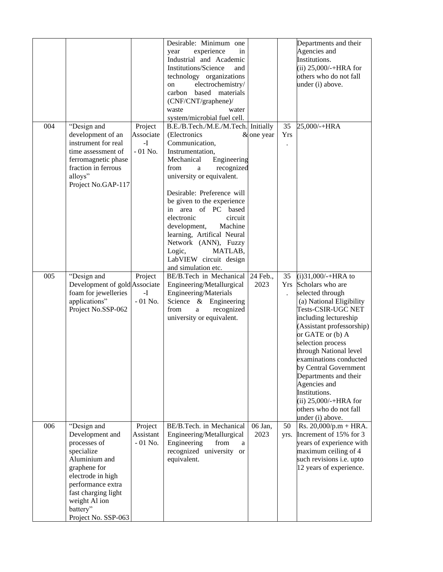|                 |                                                                                                                                                                                                        |                                                    | Desirable: Minimum one<br>experience<br>in<br>year<br>Industrial and Academic<br>Institutions/Science<br>and<br>technology organizations<br>electrochemistry/<br>on<br>based materials<br>carbon<br>(CNF/CNT/graphene)/<br>waste<br>water<br>system/microbial fuel cell.                                                                                                                                                                                     |                  |                                   | Departments and their<br>Agencies and<br>Institutions.<br>(ii) $25,000/+\text{HRA}$ for<br>others who do not fall<br>under (i) above.                                                                                                                                                                                                                                                                                          |
|-----------------|--------------------------------------------------------------------------------------------------------------------------------------------------------------------------------------------------------|----------------------------------------------------|--------------------------------------------------------------------------------------------------------------------------------------------------------------------------------------------------------------------------------------------------------------------------------------------------------------------------------------------------------------------------------------------------------------------------------------------------------------|------------------|-----------------------------------|--------------------------------------------------------------------------------------------------------------------------------------------------------------------------------------------------------------------------------------------------------------------------------------------------------------------------------------------------------------------------------------------------------------------------------|
| 004<br>alloys"  | "Design and<br>development of an<br>instrument for real<br>time assessment of<br>ferromagnetic phase<br>fraction in ferrous<br>Project No.GAP-117                                                      | Project<br>Associate<br>$\mathbf{-I}$<br>$-01$ No. | B.E./B.Tech./M.E./M.Tech. Initially<br>(Electronics<br>Communication,<br>Instrumentation,<br>Mechanical<br>Engineering<br>recognized<br>from<br>$\mathbf{a}$<br>university or equivalent.<br>Desirable: Preference will<br>be given to the experience<br>in area of PC based<br>electronic<br>circuit<br>development,<br>Machine<br>learning, Artifical Neural<br>Network (ANN), Fuzzy<br>Logic,<br>MATLAB,<br>LabVIEW circuit design<br>and simulation etc. | & one year       | 35<br><b>Yrs</b>                  | 25,000/-+HRA                                                                                                                                                                                                                                                                                                                                                                                                                   |
| 005             | "Design and<br>Development of gold Associate<br>foam for jewelleries<br>applications"<br>Project No.SSP-062                                                                                            | Project<br>$-I$<br>$-01$ No.                       | BE/B.Tech in Mechanical<br>Engineering/Metallurgical<br>Engineering/Materials<br>Science & Engineering<br>from<br>recognized<br>a<br>university or equivalent.                                                                                                                                                                                                                                                                                               | 24 Feb.,<br>2023 | 35<br>Yrs<br>$\ddot{\phantom{a}}$ | $(i)31,000/-+HRA$ to<br>Scholars who are<br>selected through<br>(a) National Eligibility<br>Tests-CSIR-UGC NET<br>including lectureship<br>(Assistant professorship)<br>or GATE or (b) A<br>selection process<br>through National level<br>examinations conducted<br>by Central Government<br>Departments and their<br>Agencies and<br>Institutions.<br>(ii) $25,000/$ -+HRA for<br>others who do not fall<br>under (i) above. |
| 006<br>battery" | "Design and<br>Development and<br>processes of<br>specialize<br>Aluminium and<br>graphene for<br>electrode in high<br>performance extra<br>fast charging light<br>weight Al ion<br>Project No. SSP-063 | Project<br>Assistant<br>$-01$ No.                  | BE/B.Tech. in Mechanical<br>Engineering/Metallurgical<br>Engineering<br>from<br>a<br>recognized university or<br>equivalent.                                                                                                                                                                                                                                                                                                                                 | 06 Jan,<br>2023  | 50<br>yrs.                        | Rs. $20,000/p.m + HRA$ .<br>Increment of 15% for 3<br>years of experience with<br>maximum ceiling of 4<br>such revisions <i>i.e.</i> upto<br>12 years of experience.                                                                                                                                                                                                                                                           |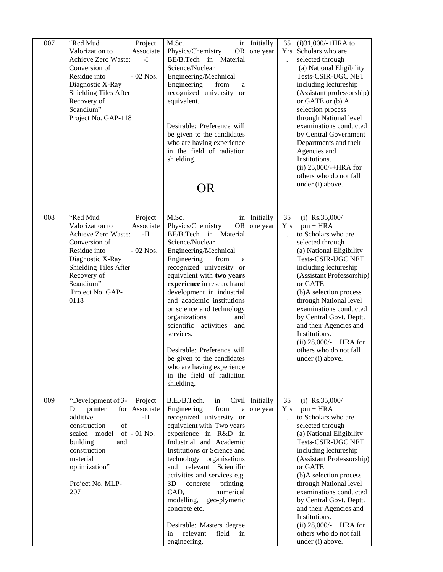| 007 | "Red Mud<br>Valorization to<br>Achieve Zero Waste:<br>Conversion of<br>Residue into<br>Diagnostic X-Ray<br>Shielding Tiles After<br>Recovery of<br>Scandium"                                                                                                                                    | Project<br>Associate<br>$-I$<br>02 Nos.                     | M.Sc.<br>in<br>Physics/Chemistry<br><b>OR</b><br>BE/B.Tech in Material<br>Science/Nuclear<br>Engineering/Mechnical<br>Engineering<br>from<br>a<br>recognized university or<br>equivalent.                                                                                                                                                                                                                                                                                                                                          | Initially<br>one year    | 35<br><b>Yrs</b><br>$\ddot{\phantom{a}}$ | $(i)31,000/-+HRA$ to<br>Scholars who are<br>selected through<br>(a) National Eligibility<br>Tests-CSIR-UGC NET<br>including lectureship<br>(Assistant professorship)<br>or GATE or (b) A<br>selection process                                                                                                                                                                                                               |
|-----|-------------------------------------------------------------------------------------------------------------------------------------------------------------------------------------------------------------------------------------------------------------------------------------------------|-------------------------------------------------------------|------------------------------------------------------------------------------------------------------------------------------------------------------------------------------------------------------------------------------------------------------------------------------------------------------------------------------------------------------------------------------------------------------------------------------------------------------------------------------------------------------------------------------------|--------------------------|------------------------------------------|-----------------------------------------------------------------------------------------------------------------------------------------------------------------------------------------------------------------------------------------------------------------------------------------------------------------------------------------------------------------------------------------------------------------------------|
|     | Project No. GAP-118                                                                                                                                                                                                                                                                             |                                                             | Desirable: Preference will<br>be given to the candidates<br>who are having experience<br>in the field of radiation<br>shielding.<br>OR                                                                                                                                                                                                                                                                                                                                                                                             |                          |                                          | through National level<br>examinations conducted<br>by Central Government<br>Departments and their<br>Agencies and<br>Institutions.<br>(ii) $25,000/$ -+HRA for<br>others who do not fall<br>under (i) above.                                                                                                                                                                                                               |
| 008 | "Red Mud<br>Valorization to<br>Achieve Zero Waste:<br>Conversion of<br>Residue into<br>Diagnostic X-Ray<br><b>Shielding Tiles After</b><br>Recovery of<br>Scandium"<br>Project No. GAP-<br>0118                                                                                                 | Project<br>Associate<br>$\boldsymbol{\cdot} \Pi$<br>02 Nos. | M.Sc.<br><b>OR</b><br>Physics/Chemistry<br>BE/B.Tech in Material<br>Science/Nuclear<br>Engineering/Mechnical<br>Engineering<br>from<br>a<br>recognized university or<br>equivalent with two years<br>experience in research and<br>development in industrial<br>and academic institutions<br>or science and technology<br>organizations<br>and<br>scientific<br>activities<br>and<br>services.<br>Desirable: Preference will<br>be given to the candidates<br>who are having experience<br>in the field of radiation<br>shielding. | in Initially<br>one year | 35<br>Yrs<br>$\ddot{\phantom{0}}$        | (i) $Rs.35,000/$<br>$pm + HRA$<br>to Scholars who are<br>selected through<br>(a) National Eligibility<br>Tests-CSIR-UGC NET<br>including lectureship<br>(Assistant Professorship)<br>or GATE<br>(b)A selection process<br>through National level<br>examinations conducted<br>by Central Govt. Deptt.<br>and their Agencies and<br>Institutions.<br>(ii) $28,000/- + HRA$ for<br>others who do not fall<br>under (i) above. |
| 009 | "Development of 3-<br>D<br>printer<br>for<br>additive<br>$% \left( \left( \mathcal{A},\mathcal{A}\right) \right) =\left( \mathcal{A},\mathcal{A}\right)$ of<br>construction<br>of<br>scaled<br>model<br>building<br>and<br>construction<br>material<br>optimization"<br>Project No. MLP-<br>207 | Project<br>Associate<br>$\mathbf{H}$<br>01 No.              | B.E./B.Tech.<br>Civil<br>in<br>Engineering<br>from<br>a<br>recognized university or<br>equivalent with Two years<br>experience in R&D in<br>Industrial and Academic<br>Institutions or Science and<br>technology organisations<br>relevant<br>Scientific<br>and<br>activities and services e.g.<br>3D<br>printing,<br>concrete<br>CAD,<br>numerical<br>modelling,<br>geo-plymeric<br>concrete etc.<br>Desirable: Masters degree<br>field<br>relevant<br>in<br>in<br>engineering.                                                   | Initially<br>one year    | 35<br>Yrs<br>$\ddot{\phantom{0}}$        | (i) $Rs.35,000/$<br>$pm + HRA$<br>to Scholars who are<br>selected through<br>(a) National Eligibility<br>Tests-CSIR-UGC NET<br>including lectureship<br>(Assistant Professorship)<br>or GATE<br>(b)A selection process<br>through National level<br>examinations conducted<br>by Central Govt. Deptt.<br>and their Agencies and<br>Institutions.<br>(ii) $28,000/- + HRA$ for<br>others who do not fall<br>under (i) above. |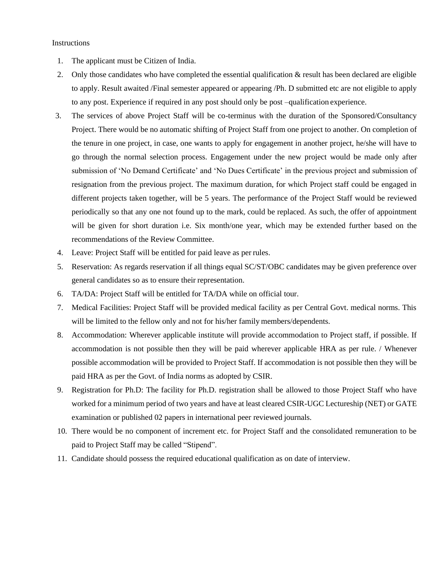### Instructions

- 1. The applicant must be Citizen of India.
- 2. Only those candidates who have completed the essential qualification & result has been declared are eligible to apply. Result awaited /Final semester appeared or appearing /Ph. D submitted etc are not eligible to apply to any post. Experience if required in any post should only be post –qualification experience.
- 3. The services of above Project Staff will be co-terminus with the duration of the Sponsored/Consultancy Project. There would be no automatic shifting of Project Staff from one project to another. On completion of the tenure in one project, in case, one wants to apply for engagement in another project, he/she will have to go through the normal selection process. Engagement under the new project would be made only after submission of 'No Demand Certificate' and 'No Dues Certificate' in the previous project and submission of resignation from the previous project. The maximum duration, for which Project staff could be engaged in different projects taken together, will be 5 years. The performance of the Project Staff would be reviewed periodically so that any one not found up to the mark, could be replaced. As such, the offer of appointment will be given for short duration i.e. Six month/one year, which may be extended further based on the recommendations of the Review Committee.
- 4. Leave: Project Staff will be entitled for paid leave as per rules.
- 5. Reservation: As regards reservation if all things equal SC/ST/OBC candidates may be given preference over general candidates so as to ensure their representation.
- 6. TA/DA: Project Staff will be entitled for TA/DA while on official tour.
- 7. Medical Facilities: Project Staff will be provided medical facility as per Central Govt. medical norms. This will be limited to the fellow only and not for his/her family members/dependents.
- 8. Accommodation: Wherever applicable institute will provide accommodation to Project staff, if possible. If accommodation is not possible then they will be paid wherever applicable HRA as per rule. / Whenever possible accommodation will be provided to Project Staff. If accommodation is not possible then they will be paid HRA as per the Govt. of India norms as adopted by CSIR.
- 9. Registration for Ph.D: The facility for Ph.D. registration shall be allowed to those Project Staff who have worked for a minimum period of two years and have at least cleared CSIR-UGC Lectureship (NET) or GATE examination or published 02 papers in international peer reviewed journals.
- 10. There would be no component of increment etc. for Project Staff and the consolidated remuneration to be paid to Project Staff may be called "Stipend".
- 11. Candidate should possess the required educational qualification as on date of interview.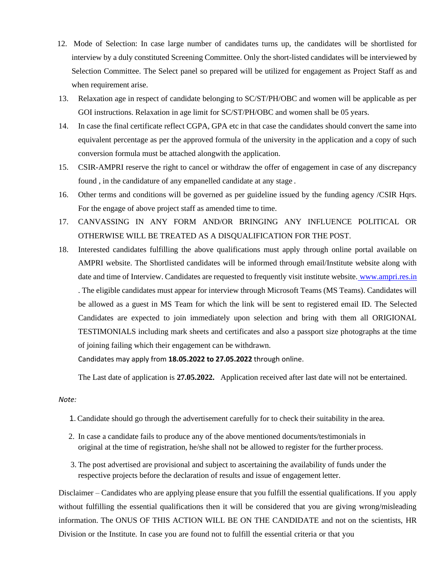- 12. Mode of Selection: In case large number of candidates turns up, the candidates will be shortlisted for interview by a duly constituted Screening Committee. Only the short-listed candidates will be interviewed by Selection Committee. The Select panel so prepared will be utilized for engagement as Project Staff as and when requirement arise.
- 13. Relaxation age in respect of candidate belonging to SC/ST/PH/OBC and women will be applicable as per GOI instructions. Relaxation in age limit for SC/ST/PH/OBC and women shall be 05 years.
- 14. In case the final certificate reflect CGPA, GPA etc in that case the candidates should convert the same into equivalent percentage as per the approved formula of the university in the application and a copy of such conversion formula must be attached alongwith the application.
- 15. CSIR-AMPRI reserve the right to cancel or withdraw the offer of engagement in case of any discrepancy found , in the candidature of any empanelled candidate at any stage .
- 16. Other terms and conditions will be governed as per guideline issued by the funding agency /CSIR Hqrs. For the engage of above project staff as amended time to time.
- 17. CANVASSING IN ANY FORM AND/OR BRINGING ANY INFLUENCE POLITICAL OR OTHERWISE WILL BE TREATED AS A DISQUALIFICATION FOR THE POST.
- 18. Interested candidates fulfilling the above qualifications must apply through online portal available on AMPRI website. The Shortlisted candidates will be informed through email/Institute website along with date and time of Interview. Candidates are requested to frequently visit institute website. [www.ampri.res.in](http://www.ampri.res.in/) . The eligible candidates must appear for interview through Microsoft Teams (MS Teams). Candidates will be allowed as a guest in MS Team for which the link will be sent to registered email ID. The Selected Candidates are expected to join immediately upon selection and bring with them all ORIGIONAL TESTIMONIALS including mark sheets and certificates and also a passport size photographs at the time of joining failing which their engagement can be withdrawn.

Candidates may apply from **18.05.2022 to 27.05.2022** through online.

The Last date of application is **27.05.2022.** Application received after last date will not be entertained.

### *Note:*

- 1.Candidate should go through the advertisement carefully for to check their suitability in the area.
- 2. In case a candidate fails to produce any of the above mentioned documents/testimonials in original at the time of registration, he/she shall not be allowed to register for the further process.
- 3. The post advertised are provisional and subject to ascertaining the availability of funds under the respective projects before the declaration of results and issue of engagement letter.

Disclaimer – Candidates who are applying please ensure that you fulfill the essential qualifications. If you apply without fulfilling the essential qualifications then it will be considered that you are giving wrong/misleading information. The ONUS OF THIS ACTION WILL BE ON THE CANDIDATE and not on the scientists, HR Division or the Institute. In case you are found not to fulfill the essential criteria or that you